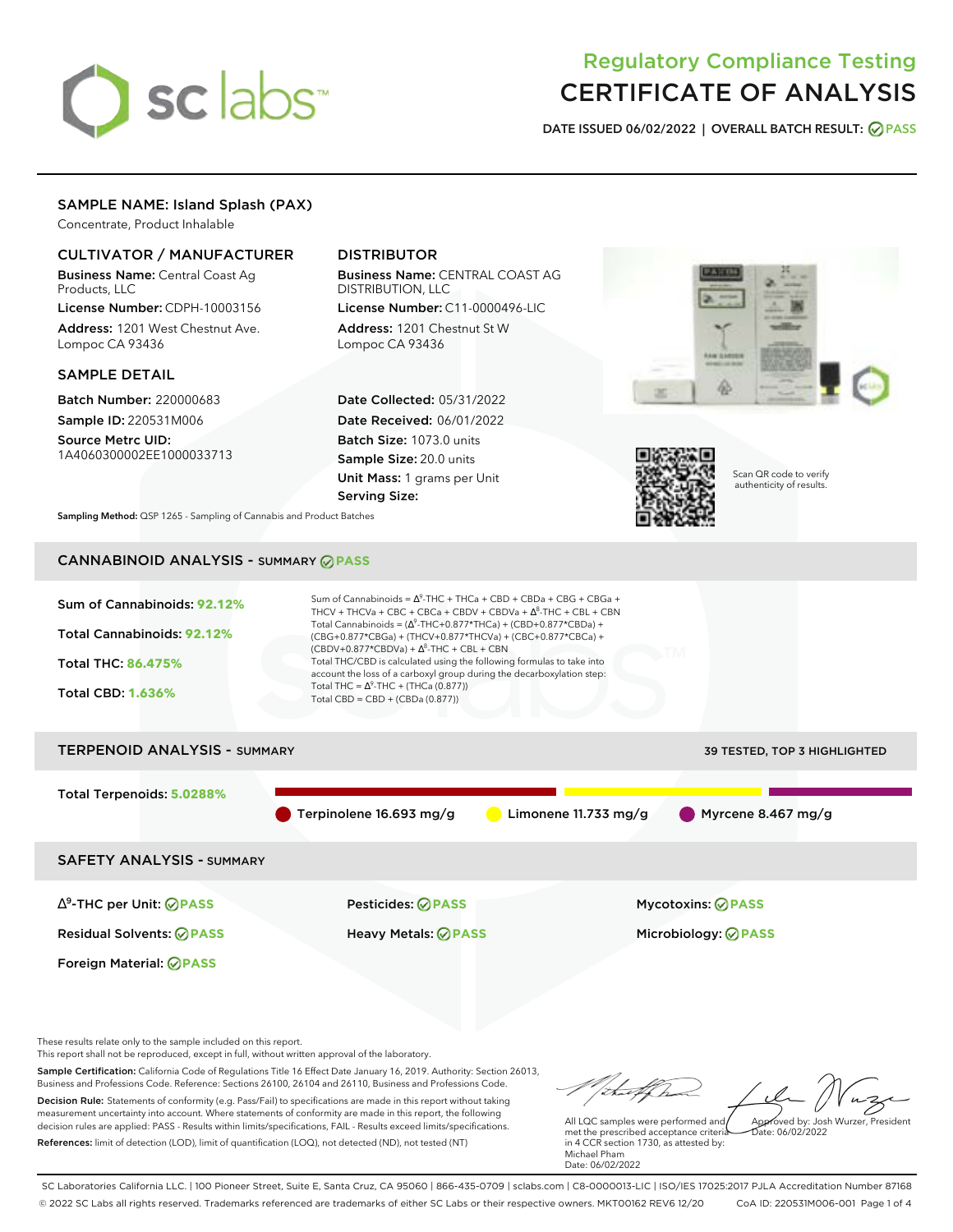# sclabs<sup>\*</sup>

# Regulatory Compliance Testing CERTIFICATE OF ANALYSIS

**DATE ISSUED 06/02/2022 | OVERALL BATCH RESULT: PASS**

# SAMPLE NAME: Island Splash (PAX)

Concentrate, Product Inhalable

# CULTIVATOR / MANUFACTURER

Business Name: Central Coast Ag Products, LLC

License Number: CDPH-10003156 Address: 1201 West Chestnut Ave. Lompoc CA 93436

# SAMPLE DETAIL

Batch Number: 220000683 Sample ID: 220531M006 Source Metrc UID:

1A4060300002EE1000033713

# DISTRIBUTOR

Business Name: CENTRAL COAST AG DISTRIBUTION, LLC License Number: C11-0000496-LIC

Address: 1201 Chestnut St W Lompoc CA 93436

Date Collected: 05/31/2022 Date Received: 06/01/2022 Batch Size: 1073.0 units Sample Size: 20.0 units Unit Mass: 1 grams per Unit Serving Size:





Scan QR code to verify authenticity of results.

**Sampling Method:** QSP 1265 - Sampling of Cannabis and Product Batches

# CANNABINOID ANALYSIS - SUMMARY **PASS**



These results relate only to the sample included on this report.

This report shall not be reproduced, except in full, without written approval of the laboratory.

Sample Certification: California Code of Regulations Title 16 Effect Date January 16, 2019. Authority: Section 26013, Business and Professions Code. Reference: Sections 26100, 26104 and 26110, Business and Professions Code. Decision Rule: Statements of conformity (e.g. Pass/Fail) to specifications are made in this report without taking measurement uncertainty into account. Where statements of conformity are made in this report, the following decision rules are applied: PASS - Results within limits/specifications, FAIL - Results exceed limits/specifications.

References: limit of detection (LOD), limit of quantification (LOQ), not detected (ND), not tested (NT)

Approved by: Josh Wurzer, President

 $ate: 06/02/2022$ 

All LQC samples were performed and met the prescribed acceptance criteria in 4 CCR section 1730, as attested by: Michael Pham Date: 06/02/2022

SC Laboratories California LLC. | 100 Pioneer Street, Suite E, Santa Cruz, CA 95060 | 866-435-0709 | sclabs.com | C8-0000013-LIC | ISO/IES 17025:2017 PJLA Accreditation Number 87168 © 2022 SC Labs all rights reserved. Trademarks referenced are trademarks of either SC Labs or their respective owners. MKT00162 REV6 12/20 CoA ID: 220531M006-001 Page 1 of 4